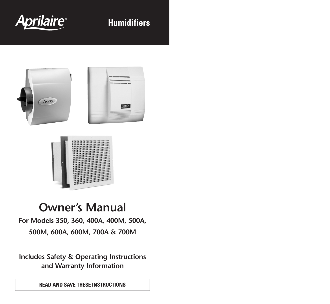

# **Humidifiers**





# **Owner's Manual**

**For Models 350, 360, 400A, 400M, 500A, 500M, 600A, 600M, 700A & 700M**

**Includes Safety & Operating Instructions and Warranty Information**

**READ AND SAVE THESE INSTRUCTIONS**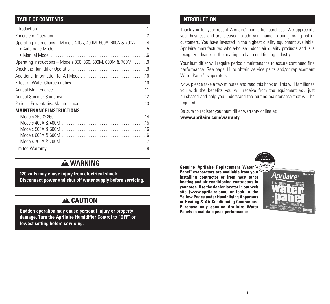## **TABLE OF CONTENTS INTRODUCTION**

| Operating Instructions - Models 400A, 400M, 500A, 600A & 700A 4 |
|-----------------------------------------------------------------|
|                                                                 |
| Operating Instructions - Models 350, 360, 500M, 600M & 700M  9  |
|                                                                 |
|                                                                 |
|                                                                 |
|                                                                 |
|                                                                 |
|                                                                 |
| <b>MAINTENANCE INSTRUCTIONS</b>                                 |
|                                                                 |

## **A WARNING**

**120 volts may cause injury from electrical shock. Disconnect power and shut off water supply before servicing.**

## **A** CAUTION

**Sudden operation may cause personal injury or property damage. Turn the Aprilaire Humidifier Control to "OFF" or lowest setting before servicing.**

Thank you for your recent Aprilaire® humidifier purchase. We appreciate your business and are pleased to add your name to our growing list of customers. You have invested in the highest quality equipment available. Aprilaire manufactures whole-house indoor air quality products and is a recognized leader in the heating and air conditioning industry.

Your humidifier will require periodic maintenance to assure continued fine performance. See page 11 to obtain service parts and/or replacement Water Panel ® evaporators.

Now, please take a few minutes and read this booklet. This will familiarize you with the benefits you will receive from the equipment you just purchased and help you understand the routine maintenance that will be required.

Be sure to register your humidifier warranty online at: **www.aprilaire.com/warranty**.

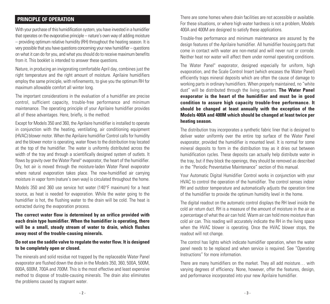With your purchase of this humidification system, you have invested in a humidifier that operates on the evaporative principle  $-$  nature's own way of adding moisture – providing optimum relative humidity (RH) throughout the heating season. It is very possible that you have questions concerning your new humidifier – questions on what it can do for you, and what you should do to receive maximum benefits from it. This booklet is intended to answer these questions.

Nature, in producing an invigorating comfortable April day, combines just the right temperature and the right amount of moisture. Aprilaire humidifiers employ the same principle, with refinements, to give you the optimum RH for maximum allowable comfort all winter long.

The important considerations in the evaluation of a humidifier are precise control, sufficient capacity, trouble-free performance and minimum maintenance. The operating principle of your Aprilaire humidifier provides all of these advantages. Here, briefly, is the method:

Except for Models 350 and 360, the Aprilaire humidifier is installed to operate in conjunction with the heating, ventilating, air conditioning equipment (HVAC) blower motor. When the Aprilaire humidifier Control calls for humidity and the blower motor is operating, water flows to the distribution tray located at the top of the humidifier. The water is uniformly distributed across the width of the tray and through a scientifically designed system of outlets. It flows by gravity over the Water Panel ® evaporator, the heart of the humidifier. Dry, hot air is moved through the moisture-laden Water Panel evaporator where natural evaporation takes place. The now-humidified air carrying moisture in vapor form (nature's own way) is circulated throughout the home.

Models 350 and 360 use service hot water (140°F maximum) for a heat source, as heat is needed for evaporation. While the water going to the humidifier is hot, the flushing water to the drain will be cold. The heat is extracted during the evaporation process.

**The correct water flow is determined by an orifice provided with each drain type humidifier. When the humidifier is operating, there will be a small, steady stream of water to drain, which flushes away most of the trouble-causing minerals.**

## **Do not use the saddle valve to regulate the water flow. It is designed to be completely open or closed.**

The minerals and solid residue not trapped by the replaceable Water Panel evaporator are flushed down the drain in the Models 350, 360, 500A, 500M, 600A, 600M, 700A and 700M. This is the most effective and least expensive method to dispose of trouble-causing minerals. The drain also eliminates the problems caused by stagnant water.

**PRINCIPLE OF OPERATION CONSIDERATION** There are some homes where drain facilities are not accessible or available. For these situations, or where high water hardness is not a problem, Models 400A and 400M are designed to satisfy these applications.

> Trouble-free performance and minimum maintenance are assured by the design features of the Aprilaire humidifier. All humidifier housing parts that come in contact with water are non-metal and will never rust or corrode. Neither heat nor water will affect them under normal operating conditions.

> The Water Panel ® evaporator, designed especially for uniform, high evaporation, and the Scale Control Insert (which encases the Water Panel) efficiently traps mineral deposits which are often the cause of damage to working parts in ordinary humidifiers. When properly maintained, no "white dust" will be distributed through the living quarters. **The Water Panel evaporator is the heart of the humidifier and must be in good condition to assure high capacity trouble-free performance. It should be changed at least annually with the exception of the Models 400A and 400M which should be changed at least twice per heating season.**

> The distribution tray incorporates a synthetic fabric liner that is designed to deliver water uniformly over the entire top surface of the Water Panel evaporator, provided the humidifier is mounted level. It is normal for some mineral deposits to form in the distribution tray as it dries out between humidification cycles. These deposits can actually help distribute water in the tray, but if they block the openings, they should be removed as described in the "Periodic Preventative Maintenance" section of this manual.

> Your Automatic Digital Humidifier Control works in conjunction with your HVAC to control the operation of the humidifier. The control senses indoor RH and outdoor temperature and automatically adjusts the operation time of the humidifier to provide the optimum humidity level in the home.

> The digital readout on the automatic control displays the RH level inside the cold air return duct. RH is a measure of the amount of moisture in the air as a percentage of what the air can hold. Warm air can hold more moisture than cold air can. This reading will accurately indicate the RH in the living space when the HVAC blower is operating. Once the HVAC blower stops, the readout will not change.

> The control has lights which indicate humidifier operation, when the water panel needs to be replaced and when service is required. See "Operating Instructions" for more information.

> There are many humidifiers on the market. They all add moisture… with varying degrees of efficiency. None, however, offer the features, design, and performance incorporated into your new Aprilaire humidifier.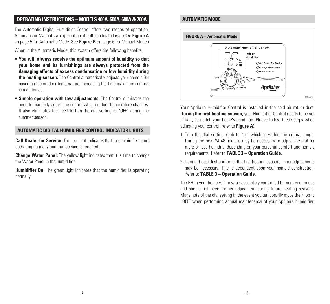## **OPERATING INSTRUCTIONS – MODELS 400A, 500A, 600A&700A AUTOMATIC MODE**

The Automatic Digital Humidifier Control offers two modes of operation, Automatic or Manual. An explanation of both modes follows. (See **Figure A** on page 5 for Automatic Mode. See **Figure B** on page 6 for Manual Mode.)

When in the Automatic Mode, this system offers the following benefits:

- **You will always receive the optimum amount of humidity so that your home and its furnishings are always protected from the damaging effects of excess condensation or low humidity during the heating season.** The Control automatically adjusts your home's RH based on the outdoor temperature, increasing the time maximum comfort is maintained.
- **Simple operation with few adjustments.** The Control eliminates the need to manually adjust the control when outdoor temperature changes. It also eliminates the need to turn the dial setting to "OFF" during the summer season.

#### **AUTOMATIC DIGITAL HUMIDIFIER CONTROL INDICATOR LIGHTS**

**Call Dealer for Service:** The red light indicates that the humidifier is not operating normally and that service is required.

**Change Water Panel:** The yellow light indicates that it is time to change the Water Panel in the humidifier.

**Humidifier On:** The green light indicates that the humidifier is operating normally.



Your Aprilaire Humidifier Control is installed in the cold air return duct. **During the first heating season,** your Humidifier Control needs to be set initially to match your home's condition. Please follow these steps when adjusting your control (refer to **Figure A**).

- 1. Turn the dial setting knob to "5," which is within the normal range. During the next 24-48 hours it may be necessary to adjust the dial for more or less humidity, depending on your personal comfort and home's requirements. Refer to **TABLE 3 – Operation Guide**.
- 2. During the coldest portion of the first heating season, minor adjustments may be necessary. This is dependent upon your home's construction. Refer to **TABLE 3 – Operation Guide**.

The RH in your home will now be accurately controlled to meet your needs and should not need further adjustment during future heating seasons. Make note of the dial setting in the event you temporarily move the knob to "OFF" when performing annual maintenance of your Aprilaire humidifier.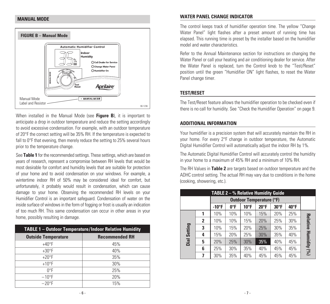### **MANUAL MODE**



When installed in the Manual Mode (see **Figure B**), it is important to anticipate a drop in outdoor temperature and reduce the setting accordingly to avoid excessive condensation. For example, with an outdoor temperature of 20°F the correct setting will be 35% RH. If the temperature is expected to fall to 0°F that evening, then merely reduce the setting to 25% several hours prior to the temperature change.

See **Table 1** for the recommended settings. These settings, which are based on years of research, represent a compromise between RH levels that would be most desirable for comfort and humidity levels that are suitable for protection of your home and to avoid condensation on your windows. For example, a wintertime indoor RH of 50% may be considered ideal for comfort, but unfortunately, it probably would result in condensation, which can cause damage to your home. Observing the recommended RH levels on your Humidifier Control is an important safeguard. Condensation of water on the inside surface of windows in the form of fogging or frost is usually an indication of too much RH. This same condensation can occur in other areas in your home, possibly resulting in damage.

| <b>TABLE 1 - Outdoor Temperature/Indoor Relative Humidity</b> |                       |  |  |  |  |  |  |
|---------------------------------------------------------------|-----------------------|--|--|--|--|--|--|
| <b>Outside Temperature</b>                                    | <b>Recommended RH</b> |  |  |  |  |  |  |
| $+40^{\circ}F$                                                | 45%                   |  |  |  |  |  |  |
| $+30^{\circ}$ F                                               | 40%                   |  |  |  |  |  |  |
| $+20$ °F                                                      | 35%                   |  |  |  |  |  |  |
| $+10$ °F                                                      | 30%                   |  |  |  |  |  |  |
| $\mathsf{D}^{\circ}$ F                                        | 25%                   |  |  |  |  |  |  |
| $-10$ °F                                                      | 20%                   |  |  |  |  |  |  |
| $-20$ °F                                                      | 15%                   |  |  |  |  |  |  |

#### **WATER PANEL CHANGE INDICATOR**

The control keeps track of humidifier operation time. The yellow "Change Water Panel" light flashes after a preset amount of running time has elapsed. This running time is preset by the installer based on the humidifier model and water characteristics.

Refer to the Annual Maintenance section for instructions on changing the Water Panel or call your heating and air conditioning dealer for service. After the Water Panel is replaced, turn the Control knob to the "Test/Reset" position until the green "Humidifier ON" light flashes, to reset the Water Panel change timer.

## **TEST/RESET**

The Test/Reset feature allows the humidifier operation to be checked even if there is no call for humidity. See "Check the Humidifier Operation" on page 9.

### **ADDITIONAL INFORMATION**

Your humidifier is a precision system that will accurately maintain the RH in your home. For every 2°F change in outdoor temperature, the Automatic Digital Humidifier Control will automatically adjust the indoor RH by 1%.

The Automatic Digital Humidifier Control will accurately control the humidity in your home to a maximum of 45% RH and a minimum of 10% RH.

The RH Values in **Table 2** are targets based on outdoor temperature and the ADHC control setting. The actual RH may vary due to conditions in the home (cooking, showering, etc.).

| <b>TABLE 2 - % Relative Humidity Guide</b> |   |                                 |     |                |                |                |                |              |  |  |  |  |  |
|--------------------------------------------|---|---------------------------------|-----|----------------|----------------|----------------|----------------|--------------|--|--|--|--|--|
|                                            |   | <b>Outdoor Temperature (°F)</b> |     |                |                |                |                |              |  |  |  |  |  |
|                                            |   | $-10^{\circ}$ F                 | 0°F | $10^{\circ}$ F | $20^{\circ}$ F | $30^{\circ}$ F | $40^{\circ}$ F |              |  |  |  |  |  |
|                                            |   | 10%                             | 10% | 10%            | 15%            | 20%            | 25%            |              |  |  |  |  |  |
|                                            | 2 | 10%                             | 10% | 15%            | 20%            | 25%            | 30%            | Relative     |  |  |  |  |  |
| Setting                                    | 3 | 10%                             | 15% | 20%            | 25%            | 30%            | 35%            |              |  |  |  |  |  |
|                                            | 4 | 15%                             | 20% | 25%            | 30%            | 35%            | 40%            |              |  |  |  |  |  |
| Dial                                       | 5 | 20%                             | 25% | 30%            | 35%            | 40%            | 45%            |              |  |  |  |  |  |
|                                            | 6 | 25%                             | 30% | 35%            | 40%            | 45%            | 45%            | Humidity (%) |  |  |  |  |  |
|                                            | 7 | 30%                             | 35% | 40%            | 45%            | 45%            | 45%            |              |  |  |  |  |  |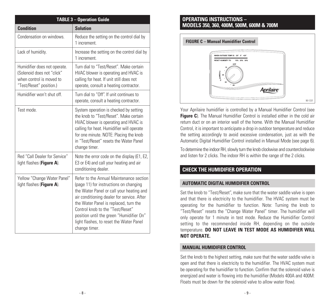| <b>TABLE 3 - Operation Guide</b>                                                                                  |                                                                                                                                                                                                                                                                                                                                                                  |  |  |  |  |  |  |
|-------------------------------------------------------------------------------------------------------------------|------------------------------------------------------------------------------------------------------------------------------------------------------------------------------------------------------------------------------------------------------------------------------------------------------------------------------------------------------------------|--|--|--|--|--|--|
| <b>Condition</b>                                                                                                  | <b>Solution</b>                                                                                                                                                                                                                                                                                                                                                  |  |  |  |  |  |  |
| Condensation on windows.                                                                                          | Reduce the setting on the control dial by<br>1 increment.                                                                                                                                                                                                                                                                                                        |  |  |  |  |  |  |
| Lack of humidity.                                                                                                 | Increase the setting on the control dial by<br>1 increment.                                                                                                                                                                                                                                                                                                      |  |  |  |  |  |  |
| Humidifier does not operate.<br>(Solenoid does not "click"<br>when control is moved to<br>"Test/Reset" position.) | Turn dial to "Test/Reset". Make certain<br>HVAC blower is operating and HVAC is<br>calling for heat. If unit still does not<br>operate, consult a heating contractor.                                                                                                                                                                                            |  |  |  |  |  |  |
| Humidifier won't shut off.                                                                                        | Turn dial to "Off". If unit continues to<br>operate, consult a heating contractor.                                                                                                                                                                                                                                                                               |  |  |  |  |  |  |
| Test mode.                                                                                                        | System operation is checked by setting<br>the knob to "Test/Reset". Make certain<br>HVAC blower is operating and HVAC is<br>calling for heat. Humidifier will operate<br>for one minute. NOTE: Placing the knob<br>in "Test/Reset" resets the Water Panel<br>change timer.                                                                                       |  |  |  |  |  |  |
| Red "Call Dealer for Service"<br>light flashes (Figure A).                                                        | Note the error code on the display (E1, E2,<br>E3 or E4) and call your heating and air<br>conditioning dealer.                                                                                                                                                                                                                                                   |  |  |  |  |  |  |
| Yellow "Change Water Panel"<br>light flashes (Figure A).                                                          | Refer to the Annual Maintenance section<br>(page 11) for instructions on changing<br>the Water Panel or call your heating and<br>air conditioning dealer for service. After<br>the Water Panel is replaced, turn the<br>Control knob to the "Test/Reset"<br>position until the green "Humidifier On"<br>light flashes, to reset the Water Panel<br>change timer. |  |  |  |  |  |  |

## **OPERATING INSTRUCTIONS – MODELS 350, 360, 400M, 500M, 600M & 700M**



Your Aprilaire humidifier is controlled by a Manual Humidifier Control (see **Figure C**). The Manual Humidifier Control is installed either in the cold air return duct or on an interior wall of the home. With the Manual Humidifier Control, it isimportant to anticipate a drop in outdoor temperature and reduce the setting accordingly to avoid excessive condensation, just as with the Automatic Digital Humidifier Control installed in Manual Mode (see page 6).

To determine the indoor RH, slowly turn the knob clockwise and counterclockwise and listen for 2 clicks. The indoor RH is within the range of the 2 clicks.

## **CHECK THE HUMIDIFIER OPERATION**

## **AUTOMATIC DIGITAL HUMIDIFIER CONTROL**

Set the knob to "Test/Reset", make sure that the water saddle valve is open and that there is electricity to the humidifier. The HVAC system must be operating for the humidifier to function. Note: Turning the knob to "Test/Reset" resets the "Change Water Panel" timer. The humidifier will only operate for 1 minute in test mode. Reduce the Humidifier Control setting to the recommended inside RH, depending on the outside temperature. **DO NOT LEAVE IN TEST MODE AS HUMIDIFIER WILL NOT OPERATE.**

### **MANUAL HUMIDIFIER CONTROL**

Set the knob to the highest setting, make sure that the water saddle valve is open and that there is electricity to the humidifier. The HVAC system must be operating for the humidifier to function. Confirm that the solenoid valve is energized and water is flowing into the humidifier (Models 400A and 400M: Floats must be down for the solenoid valve to allow water flow).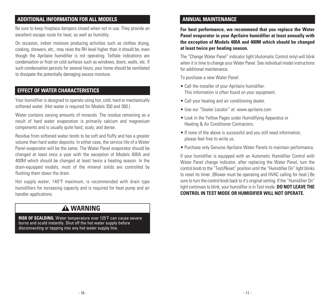## **ADDITIONAL INFORMATION FOR ALL MODELS**

Be sure to keep fireplace dampers closed when not in use. They provide an excellent escape route for heat, as well as humidity.

On occasion, indoor moisture producing activities such as clothes drying, cooking, showers, etc., may raise the RH level higher than it should be, even though the Aprilaire humidifier is not operating. Telltale indications are condensation or frost on cold surfaces such as windows, doors, walls, etc. If such condensation persists for several hours, your home should be ventilated to dissipate the potentially damaging excess moisture.

## **EFFECT OF WATER CHARACTERISTICS**

Your humidifier is designed to operate using hot, cold, hard or mechanically softened water. (Hot water is required for Models 350 and 360.)

Water contains varying amounts of minerals. The residue remaining as a result of hard water evaporation is primarily calcium and magnesium components and is usually quite hard, scaly, and dense.

Residue from softened water tends to be soft and fluffy and has a greater volume than hard water deposits. In either case, the service life of a Water Panel evaporator will be the same. The Water Panel evaporator should be changed at least once a year with the exception of Models 400A and 400M which should be changed at least twice a heating season. In the drain-equipped models, most of the mineral solids are controlled by flushing them down the drain.

Hot supply water, 140°F maximum, is recommended with drain type humidifiers for increasing capacity and is required for heat pump and air handler applications.

## **WARNING**

**RISK OF SCALDING. Water temperature over 125˚F can cause severe burns and scald instantly. Shut off the hot water supply before disconnecting or tapping into any hot water supply line.**

## **ANNUAL MAINTENANCE**

**For best performance, we recommend that you replace the Water Panel evaporator in your Aprilaire humidifier at least annually with the exception of Models 400A and 400M which should be changed at least twice per heating season.**

The "Change Water Panel" indicator light (Automatic Control only) will blink when it is time to change your Water Panel. See individual model instructions for additional maintenance.

To purchase a new Water Panel:

- Call the installer of your Aprilaire humidifier. This information is often found on your equipment.
- Call your heating and air conditioning dealer.
- Use our "Dealer Locator" at: www.aprilaire.com
- Look in the Yellow Pages under Humidifying Apparatus or Heating & Air Conditioner Contractors.
- If none of the above is successful and you still need information, please feel free to write us.
- Purchase only Genuine Aprilaire Water Panels to maintain performance.

If your humidifier is equipped with an Automatic Humidifier Control with Water Panel change indicator, after replacing the Water Panel, turn the control knob to the "Test/Reset" position until the "Humidifier On" light blinks to reset its timer. (Blower must be operating and HVAC calling for heat.) Be sure to turn the control knob back to it's original setting. If the "Humidifier On" light continues to blink, your humidifier is in Test mode. **DO NOT LEAVE THE CONTROL IN TEST MODE OR HUMIDIFIER WILL NOT OPERATE.**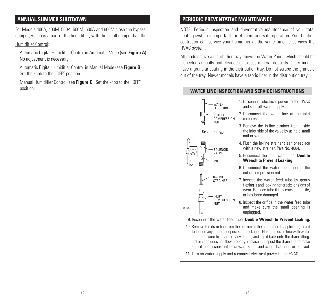For Models 400A, 400M, 500A, 500M, 600A and 600M close the bypass damper, which is a part of the humidifier, with the small damper handle.

### Humidifier Control:

Automatic Digital Humidifier Control in Automatic Mode (see **Figure A**): No adjustment is necessary.

Automatic Digital Humidifier Control in Manual Mode (see **Figure B**): Set the knob to the "OFF" position.

Manual Humidifier Control (see **Figure C**): Set the knob to the "OFF" position.

## **ANNUAL SUMMER SHUTDOWN PERIODIC PREVENTATIVE MAINTENANCE**

NOTE: Periodic inspection and preventative maintenance of your total heating system is important for efficient and safe operation. Your heating contractor can service your humidifier at the same time he services the HVAC system.

All models have a distribution tray above the Water Panel, which should be inspected annually and cleaned of excess mineral deposits. Older models have a granular coating in the distribution tray. Do not scrape the granuals out of the tray. Newer models have a fabric liner in the distribution tray.

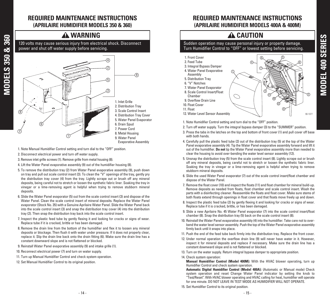## **REQUIRED MAINTENANCE INSTRUCTIONS (APRILAIRE HUMIDIFIER MODELS 350 & 360)**

## **A WARNING**

**120 volts may cause serious injury from electrical shock. Disconnect power and shut off water supply before servicing.**



- **1. Note Manual Humidifier Control setting and turn dial to the "OFF" position.**
- **2. Disconnect electrical power and turn off water supply.**

**MODE L** <u>ဟ</u> <u>ო</u> <u>ما</u> **0 &**<u>ო</u> <u>م</u> **0**

- **3. Remove inlet grille screws (1). Remove grille from metal housing (8).**
- **4. Lift the Water Panel evaporative assembly (9) out of the humidifier housing (8).**
- **5. To remove the distribution tray (2) from Water Panel evaporative assembly (9), push down** on tray and pull out scale control insert (3). To clean the "V" openings of the tray, gently pry **the distribution tray cover (4) from the tray. Lightly scrape out or brush off any mineral deposits, being careful not to stretch or loosen the synthetic fabric liner. Soaking the tray in vinegar or a lime-removing agent is helpful when trying to remove stubborn mineral deposits.**
- **6. Slide the Water Panel evaporator (5) out from the scale control insert (3) and dispose of the Water Panel. Clean the scale control insert of mineral deposits. Replace the Water Panel evaporator (Stock No. 35) with a Genuine Aprilaire Water Panel. Slide the Water Panel back into the scale control insert (3) and snap the distribution tray cover (4) into the distribution tray (2). Then snap the distribution tray back into the scale control insert.**
- **7. Inspect the plastic feed tube by gently flexing it and looking for cracks or signs of wear. Replace tube if it is cracked, brittle or has been damaged.**
- **8. Remove the drain line from the bottom of the humidifier and flex it to loosen any mineral deposits or blockage. Then flush it with water under pressure. If it does not properly clear,** replace it. Slip the drain line back onto the drain fitting (6). Make sure the drain line has a **constant downward slope and is not flattened or blocked.**
- **9. Reinstall Water Panel evaporative assembly (9) and intake grille (1).**
- **10. Reconnect electrical power (7) and turn on water supply.**
- **11. Turn up Manual Humidifier Control and check system operation.**
- **12. Set Manual Humidifier Control to its original position.**

## **REQUIRED MAINTENANCE INSTRUCTIONS (APRILAIRE HUMIDIFIER MODELS 400A & 400M)**

## **A** CAUTION

### **Sudden operation may cause personal injury or property damage. Turn Humidifier Control to "OFF" or lowest setting before servicing.**



- **1. Note Humidifier Control setting and turn dial to the "OFF" position.**
- **2. Turn off water supply. Turn the integral bypass damper (3) to the "SUMMER" position.**
- 3. Press the tabs in the latches on the top and bottom of front cover (1) and pull cover off base **with both hands.**
- 4. Carefully pull the plastic feed tube (2) out of the distribution tray (5) at the top of the Water **Panel evaporative assembly (4). Tip the Water Panel evaporative assembly forward and lift it out of the humidifier. Do not tip the Water Panel evaporative assembly more than needed to clear the housing to avoid over-bending the water level sensor assembly (12).**
- **5. Unsnap the distribution tray (5) from the scale control insert (8). Lightly scrape out or brush off any mineral deposits, being careful not to stretch or loosen the synthetic fabric liner. Soaking the tray in vinegar or a lime-removing agent is helpful when trying to remove stubborn mineral deposits.**
- **6. Slide the used Water Panel evaporator (7) out of the scale control insert/float chamber and dispose of the Water Panel.**
- **7. Remove the float cover (10) and inspect the floats (11) and float chamber for mineral build-up. Remove deposits as needed from floats, float chamber and scale control insert. Wash the parts with a disinfecting cleaner. Reassemble the floats and float cover. Make sure stems of both floats extend through openings in float cover and that floats move freely up and down.**
- 8. Inspect the plastic feed tube (2) by gently flexing it and looking for cracks or signs of wear. **Replace tube if it is cracked, brittle, or has been damaged.**
- **9. Slide a new Aprilaire No. 45 Water Panel evaporator (7) into the scale control insert/float chamber (8). Snap the distribution tray (5) back on the scale control insert (8).**
- **10. Reinstall the Water Panel evaporative assembly (4) into the humidifier. Take care not to overbend the waterlevel sensor assembly. Push the top of the Water Panel evaporative assembly firmly back until it snaps into place.**
- **11. Push the end of the feed tube back firmly into the distribution tray. Replace the front cover.**
- **12. Under normal operation the overflow drain line (9) will never have water in it. However, inspect it for mineral deposits and replace if necessary. Make sure the drain line has a constant downward slope and is not flattened or blocked.**
- **13. Turn on the water supply. Return integral bypass damper to appropriate position.**
- **14. Check system operation:**

**Manual Humidifier Control (Model 400M): With the HVAC blower operating, turn up Humidifier Control and check system operation.**

**Automatic Digital Humidifier Control (Model 400A): (Automatic or Manual mode) Check system operation and reset Change Water Panel indicator by setting the knob to "Test/Reset". With HVAC blower operating and HVAC calling for heat, humidifier will operate for one minute. DO NOT LEAVE IN TEST MODE AS HUMIDIFIER WILL NOT OPERATE.**

**15. Set Humidifier Control to its original position.**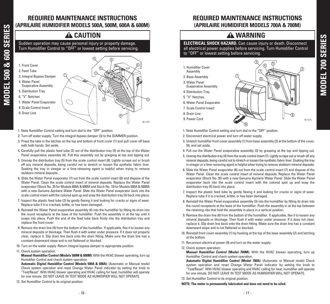## **REQUIRED MAINTENANCE INSTRUCTIONS (APRILAIRE HUMIDIFIER MODELS 500A, 500M, 600A & 600M)**

## **A** CAUTION

**Sudden operation may cause personal injury or property damage. Turn Humidifier Control to "OFF" or lowest setting before servicing.**



- **1. Note Humidifier Control setting and turn dial to the "OFF" position.**
- **2. Turn off water supply. Turn the integral bypass damper (3) to the SUMMER position.**
- 3. Press the tabs in the latches on the top and bottom of front cover (1) and pull cover off base **with both hands. Set aside.**
- 4. Carefully pull the plastic feed tube (2) out of the distribution tray (5) at the top of the Water **Panel evaporative assembly (4). Pull this assembly out by grasping at top and tipping out.**
- **5. Unsnap the distribution tray (5) from the scale control insert (8). Lightly scrape out or brush off any mineral deposits, being careful not to stretch or loosen the synthetic fabric liner. Soaking the tray in vinegar or a lime-removing agent is helpful when trying to remove stubborn mineral deposits.**
- **6. Slide the Water Panel evaporator (7) out from the scale control insert (8) and dispose of the Water Panel. Clean the scale control insert of mineral deposits. Replace the Water Panel evaporator (Stock No. 35 for Models 600A & 600M and Stock No. 10 for Models 500A & 500M) with a new Genuine Aprilaire Water Panel. Slide the Water Panel evaporator back into the scale control insert with the colored spot up and snap the distribution tray (5) back into place.**
- 7. Inspect the plastic feed tube (2) by gently flexing it and looking for cracks or signs of wear. **Replace tube if it is cracked, brittle, or has been damaged.**
- **8. Reinstall the Water Panel evaporative assembly (4) into the humidifier by fitting its drain into the round receptacle at the base of the humidifier. Push the assembly in at the top until it snaps into place. Push the end of the feed tube back firmly into the distribution tray and replace the front cover.**
- 9. Remove the drain line (9) from the bottom of the humidifier. If applicable, flex it to loosen any **mineral deposits or blockage. Then flush it with water under pressure. If it does not properly clear, replace it. Slip drain line back onto the drain fitting. Make sure the drain line has a constant downward slope and is not flattened or blocked.**
- **10. Turn on the water supply. Return integral bypass damper to appropriate position.**
- **11. Check system operation:**

**MODEL**

**500& 6 0 0** <u>ဟ</u> **E RIE** <u>ဟ</u>

> **Manual Humidifier Control (Models 500M & 600M): With the HVAC blower operating, turn up Humidifier Control and check system operation.**

> **Automatic Digital Humidifier Control (Models 500A & 600A): (Automatic or Manual mode) Check system operation and reset Change Water Panel indicator by setting the knob to "Test/Reset". With HVAC blower operating and HVAC calling for heat, humidifier will operate for one minute. DO NOT LEAVE IN TEST MODE AS HUMIDIFIER WILL NOT OPERATE.**

**12. Set Humidifier Control to its original position.**

## **REQUIRED MAINTENANCE INSTRUCTIONS (APRILAIRE HUMIDIFIER MODELS 700A & 700M)**

## **WARNING**

**ELECTRICAL SHOCK HAZARD. Can cause injury or death. Disconnect all electrical power supplies before servicing. Turn Humidifier Control to "OFF" or lowest setting before servicing.**

- **1. Humidifier Cover Assembly**
- **2. Base Assembly**
- **3. Water Panel Evaporative Assembly**
- **4. Distribution Tray**
- **5. "V" Notches**
- **6. Water Panel Evaporator**
- **7. Scale Control Insert**
- **8. Drain Line**
- **9. Power Cord**



- **1. Note Humidifier Control setting and turn dial to the "OFF" position.**
- **2. Disconnect electrical power and turn off water supply.**
- **3. Unlatch humidifierfront cover assembly (1) from base assembly (2) at the bottom of the cover, lift, and set aside.**
- **4. Pull out the Water Panel evaporative assembly (3) by grasping at the top and tipping out.**
- 5. Unsnap the distribution tray (4) from the scale control insert (7). Lightly scrape out or brush off any **mineral deposits, being careful not to stretch orloosen the synthetic fabric liner. Soaking the tray in vinegar or a lime-removing agent is helpful when trying to remove stubborn mineral deposits.**
- **6. Slide the Water Panel evaporator (6) out from the scale control insert (7) and dispose of the Water Panel. Clean the scale control insert of mineral deposits. Replace the Water Panel evaporator (Stock No. 35) with a new Genuine Aprilaire Water Panel. Slide the Water Panel evaporator back into the scale control insert with the colored spot up and snap the distribution tray (4) back into place.**
- **7. Inspect the plastic feed tube by gently flexing it and looking for cracks or signs of wear. Replace tube if it is cracked, brittle, or has been damaged.**
- **8. Reinstall the Water Panel evaporative assembly (3) into the humidifier by fitting its drain into the round receptacle at the base of the humidifier. Push the assembly in at the top between the retaining ribs that hold the assembly in place in a vertical position.**
- 9. Remove the drain line (8) from the bottom of the humidifier. If applicable, flex it to loosen any **mineral deposits or blockage. Then flush it with water under pressure. If it does not clear, replace it. Slip drain line back onto the drain fitting. Make sure the drain line has a constant downward slope and is not flattened or blocked.**
- **10. Reinstall front cover assembly (1) by hooking at the top of the base assembly (2) and latching at the bottom.**
- **11. Reconnect electrical power (9) and turn on the water supply.**
- **12. Check system operation:**

**Manual Humidifier Control (Model 700M): With the HVAC blower operating, turn up Humidifier Control and check system operation.**

**Automatic Digital Humidifier Control (Model 700A): (Automatic or Manual mode) Check system operation and reset Change Water Panel indicator by setting the knob to "Test/Reset". With HVAC blower operating and HVAC calling for heat, humidifier will operate for one minute. DO NOT LEAVE IN TEST MODE AS HUMIDIFIER WILL NOT OPERATE.**

**13. Set Humidifier Control to its original position.**

#### **NOTE: The motor is permanently lubricated and does not need to be oiled.**